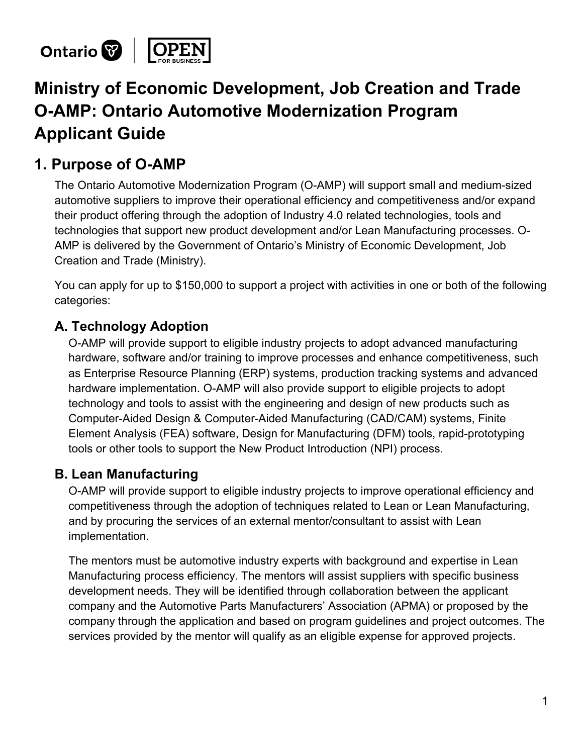

# **Ministry of Economic Development, Job Creation and Trade O-AMP: Ontario Automotive Modernization Program Applicant Guide**

### **1. Purpose of O-AMP**

The Ontario Automotive Modernization Program (O-AMP) will support small and medium-sized automotive suppliers to improve their operational efficiency and competitiveness and/or expand their product offering through the adoption of Industry 4.0 related technologies, tools and technologies that support new product development and/or Lean Manufacturing processes. O-AMP is delivered by the Government of Ontario's Ministry of Economic Development, Job Creation and Trade (Ministry).

You can apply for up to \$150,000 to support a project with activities in one or both of the following categories:

### **A. Technology Adoption**

O-AMP will provide support to eligible industry projects to adopt advanced manufacturing hardware, software and/or training to improve processes and enhance competitiveness, such as Enterprise Resource Planning (ERP) systems, production tracking systems and advanced hardware implementation. O-AMP will also provide support to eligible projects to adopt technology and tools to assist with the engineering and design of new products such as Computer-Aided Design & Computer-Aided Manufacturing (CAD/CAM) systems, Finite Element Analysis (FEA) software, Design for Manufacturing (DFM) tools, rapid-prototyping tools or other tools to support the New Product Introduction (NPI) process.

### **B. Lean Manufacturing**

O-AMP will provide support to eligible industry projects to improve operational efficiency and competitiveness through the adoption of techniques related to Lean or Lean Manufacturing, and by procuring the services of an external mentor/consultant to assist with Lean implementation.

The mentors must be automotive industry experts with background and expertise in Lean Manufacturing process efficiency. The mentors will assist suppliers with specific business development needs. They will be identified through collaboration between the applicant company and the Automotive Parts Manufacturers' Association (APMA) or proposed by the company through the application and based on program guidelines and project outcomes. The services provided by the mentor will qualify as an eligible expense for approved projects.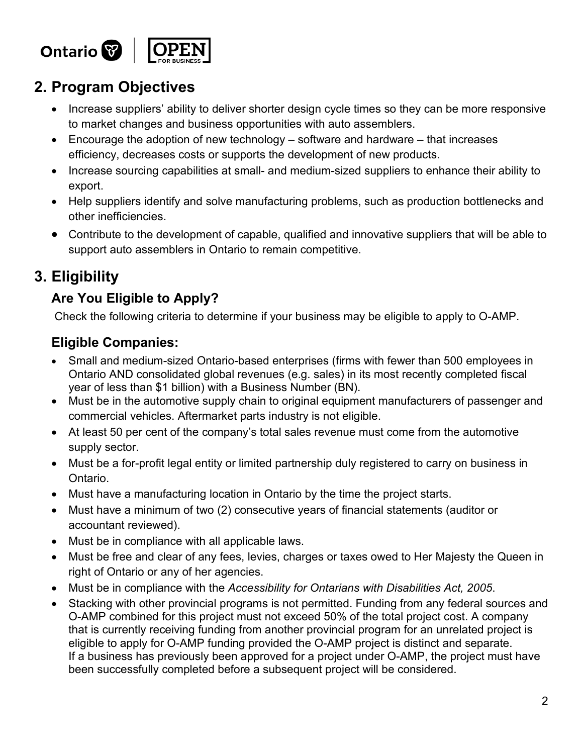

# **2. Program Objectives**

- Increase suppliers' ability to deliver shorter design cycle times so they can be more responsive to market changes and business opportunities with auto assemblers.
- Encourage the adoption of new technology software and hardware that increases efficiency, decreases costs or supports the development of new products.
- Increase sourcing capabilities at small- and medium-sized suppliers to enhance their ability to export.
- Help suppliers identify and solve manufacturing problems, such as production bottlenecks and other inefficiencies.
- Contribute to the development of capable, qualified and innovative suppliers that will be able to support auto assemblers in Ontario to remain competitive.

# **3. Eligibility**

### **Are You Eligible to Apply?**

Check the following criteria to determine if your business may be eligible to apply to O-AMP.

### **Eligible Companies:**

- Small and medium-sized Ontario-based enterprises (firms with fewer than 500 employees in Ontario AND consolidated global revenues (e.g. sales) in its most recently completed fiscal year of less than \$1 billion) with a Business Number (BN).
- Must be in the automotive supply chain to original equipment manufacturers of passenger and commercial vehicles. Aftermarket parts industry is not eligible.
- At least 50 per cent of the company's total sales revenue must come from the automotive supply sector.
- Must be a for-profit legal entity or limited partnership duly registered to carry on business in Ontario.
- Must have a manufacturing location in Ontario by the time the project starts.
- Must have a minimum of two (2) consecutive years of financial statements (auditor or accountant reviewed).
- Must be in compliance with all applicable laws.
- Must be free and clear of any fees, levies, charges or taxes owed to Her Majesty the Queen in right of Ontario or any of her agencies.
- Must be in compliance with the *Accessibility for Ontarians with Disabilities Act, 2005*.
- Stacking with other provincial programs is not permitted. Funding from any federal sources and O-AMP combined for this project must not exceed 50% of the total project cost. A company that is currently receiving funding from another provincial program for an unrelated project is eligible to apply for O-AMP funding provided the O-AMP project is distinct and separate. If a business has previously been approved for a project under O-AMP, the project must have been successfully completed before a subsequent project will be considered.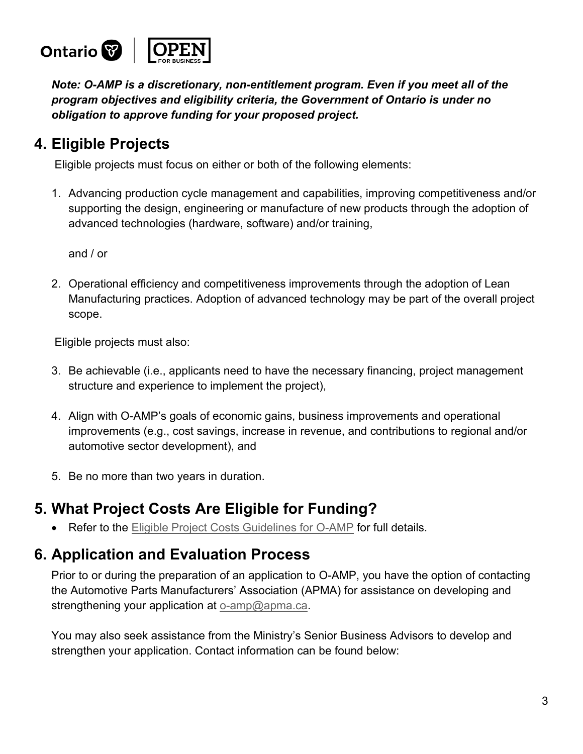

*Note: O-AMP is a discretionary, non-entitlement program. Even if you meet all of the program objectives and eligibility criteria, the Government of Ontario is under no obligation to approve funding for your proposed project.* 

# **4. Eligible Projects**

Eligible projects must focus on either or both of the following elements:

1. Advancing production cycle management and capabilities, improving competitiveness and/or supporting the design, engineering or manufacture of new products through the adoption of advanced technologies (hardware, software) and/or training,

and / or

2. Operational efficiency and competitiveness improvements through the adoption of Lean Manufacturing practices. Adoption of advanced technology may be part of the overall project scope.

Eligible projects must also:

- 3. Be achievable (i.e., applicants need to have the necessary financing, project management structure and experience to implement the project),
- 4. Align with O-AMP's goals of economic gains, business improvements and operational improvements (e.g., cost savings, increase in revenue, and contributions to regional and/or automotive sector development), and
- 5. Be no more than two years in duration.

# **5. What Project Costs Are Eligible for Funding?**

Refer to the [Eligible Project Costs Guidelines](http://www.grants.gov.on.ca/prodconsum/groups/grants_web_contents/documents/grants_web_contents/prdr020007.pdf) for O-AMP for full details. •

# **6. Application and Evaluation Process**

Prior to or during the preparation of an application to O-AMP, you have the option of contacting the Automotive Parts Manufacturers' Association (APMA) for assistance on developing and strengthening your application at [o-amp@apma.ca](mailto:o-amp@apma.ca).

You may also seek assistance from the Ministry's Senior Business Advisors to develop and strengthen your application. Contact information can be found below: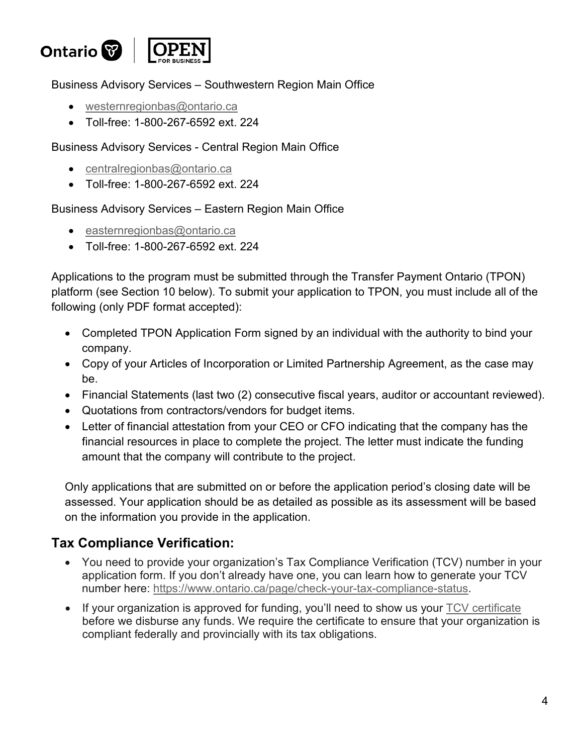

Business Advisory Services – Southwestern Region Main Office

- [westernregionbas@ontario.ca](mailto:westernregionbas@ontario.ca)
- Toll-free: 1-800-267-6592 ext. 224

Business Advisory Services - Central Region Main Office

- [centralregionbas@ontario.ca](mailto:centralregionbas@ontario.ca)
- Toll-free: 1-800-267-6592 ext. 224

Business Advisory Services – Eastern Region Main Office

- [easternregionbas@ontario.ca](mailto:easternregionbas@ontario.ca)
- Toll-free: 1-800-267-6592 ext. 224

Applications to the program must be submitted through the Transfer Payment Ontario (TPON) platform (see Section 10 below). To submit your application to TPON, you must include all of the following (only PDF format accepted):

- Completed TPON Application Form signed by an individual with the authority to bind your company.
- Copy of your Articles of Incorporation or Limited Partnership Agreement, as the case may be.
- Financial Statements (last two (2) consecutive fiscal years, auditor or accountant reviewed).
- Quotations from contractors/vendors for budget items.
- Letter of financial attestation from your CEO or CFO indicating that the company has the financial resources in place to complete the project. The letter must indicate the funding amount that the company will contribute to the project.

Only applications that are submitted on or before the application period's closing date will be assessed. Your application should be as detailed as possible as its assessment will be based on the information you provide in the application.

### **Tax Compliance Verification:**

- You need to provide your organization's Tax Compliance Verification (TCV) number in your application form. If you don't already have one, you can learn how to generate your TCV number here: [https://www.ontario.ca/page/check-your-tax-compliance-status.](https://www.ontario.ca/page/check-your-tax-compliance-status)
- If your organization is approved for funding, you'll need to show us your TCV [certificate](https://www.ontario.ca/page/check-your-tax-compliance-status) before we disburse any funds. We require the certificate to ensure that your organization is compliant federally and provincially with its tax obligations.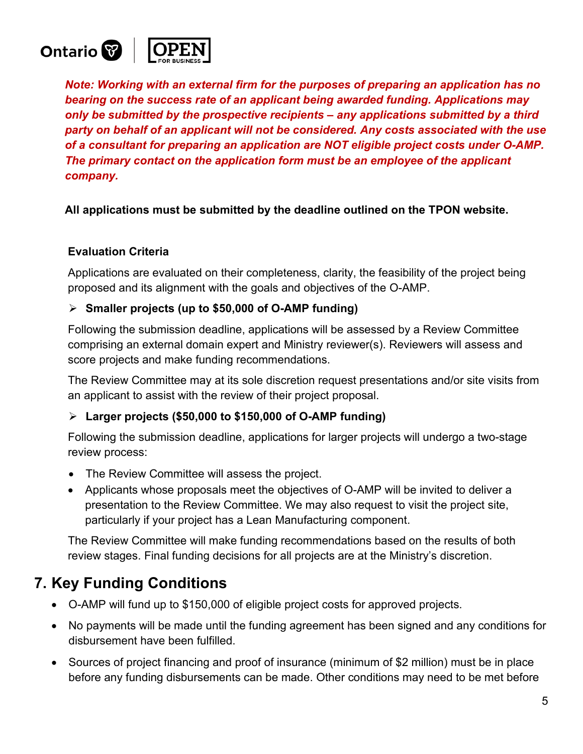

*Note: Working with an external firm for the purposes of preparing an application has no bearing on the success rate of an applicant being awarded funding. Applications may only be submitted by the prospective recipients – any applications submitted by a third party on behalf of an applicant will not be considered. Any costs associated with the use of a consultant for preparing an application are NOT eligible project costs under O-AMP. The primary contact on the application form must be an employee of the applicant company.*

**All applications must be submitted by the deadline outlined on the TPON website.**

#### **Evaluation Criteria**

Applications are evaluated on their completeness, clarity, the feasibility of the project being proposed and its alignment with the goals and objectives of the O-AMP.

#### **Smaller projects (up to \$50,000 of O-AMP funding)**

Following the submission deadline, applications will be assessed by a Review Committee comprising an external domain expert and Ministry reviewer(s). Reviewers will assess and score projects and make funding recommendations.

The Review Committee may at its sole discretion request presentations and/or site visits from an applicant to assist with the review of their project proposal.

#### **Larger projects (\$50,000 to \$150,000 of O-AMP funding)**

Following the submission deadline, applications for larger projects will undergo a two-stage review process:

- The Review Committee will assess the project.
- Applicants whose proposals meet the objectives of O-AMP will be invited to deliver a presentation to the Review Committee. We may also request to visit the project site, particularly if your project has a Lean Manufacturing component.

The Review Committee will make funding recommendations based on the results of both review stages. Final funding decisions for all projects are at the Ministry's discretion.

### **7. Key Funding Conditions**

- O-AMP will fund up to \$150,000 of eligible project costs for approved projects.
- No payments will be made until the funding agreement has been signed and any conditions for disbursement have been fulfilled.
- Sources of project financing and proof of insurance (minimum of \$2 million) must be in place before any funding disbursements can be made. Other conditions may need to be met before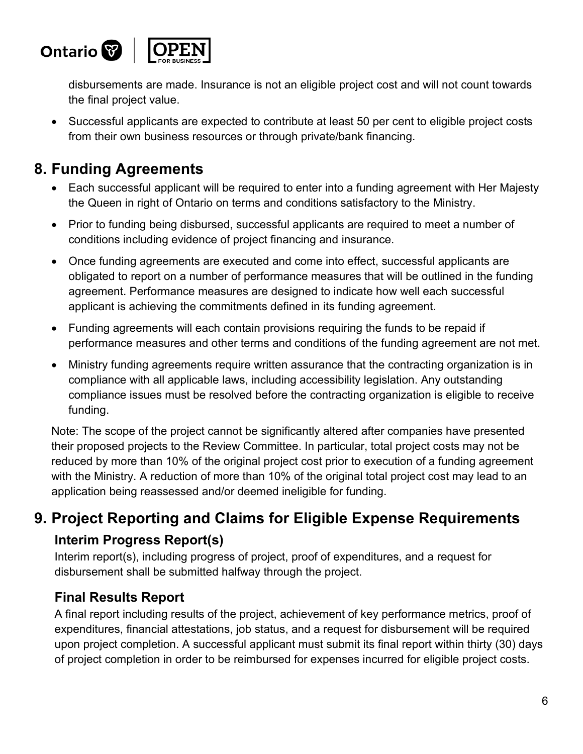

disbursements are made. Insurance is not an eligible project cost and will not count towards the final project value.

• Successful applicants are expected to contribute at least 50 per cent to eligible project costs from their own business resources or through private/bank financing.

# **8. Funding Agreements**

- Each successful applicant will be required to enter into a funding agreement with Her Majesty the Queen in right of Ontario on terms and conditions satisfactory to the Ministry.
- Prior to funding being disbursed, successful applicants are required to meet a number of conditions including evidence of project financing and insurance.
- Once funding agreements are executed and come into effect, successful applicants are obligated to report on a number of performance measures that will be outlined in the funding agreement. Performance measures are designed to indicate how well each successful applicant is achieving the commitments defined in its funding agreement.
- Funding agreements will each contain provisions requiring the funds to be repaid if performance measures and other terms and conditions of the funding agreement are not met.
- Ministry funding agreements require written assurance that the contracting organization is in compliance with all applicable laws, including accessibility legislation. Any outstanding compliance issues must be resolved before the contracting organization is eligible to receive funding.

Note: The scope of the project cannot be significantly altered after companies have presented their proposed projects to the Review Committee. In particular, total project costs may not be reduced by more than 10% of the original project cost prior to execution of a funding agreement with the Ministry. A reduction of more than 10% of the original total project cost may lead to an application being reassessed and/or deemed ineligible for funding.

# **9. Project Reporting and Claims for Eligible Expense Requirements Interim Progress Report(s)**

Interim report(s), including progress of project, proof of expenditures, and a request for disbursement shall be submitted halfway through the project.

### **Final Results Report**

A final report including results of the project, achievement of key performance metrics, proof of expenditures, financial attestations, job status, and a request for disbursement will be required upon project completion. A successful applicant must submit its final report within thirty (30) days of project completion in order to be reimbursed for expenses incurred for eligible project costs.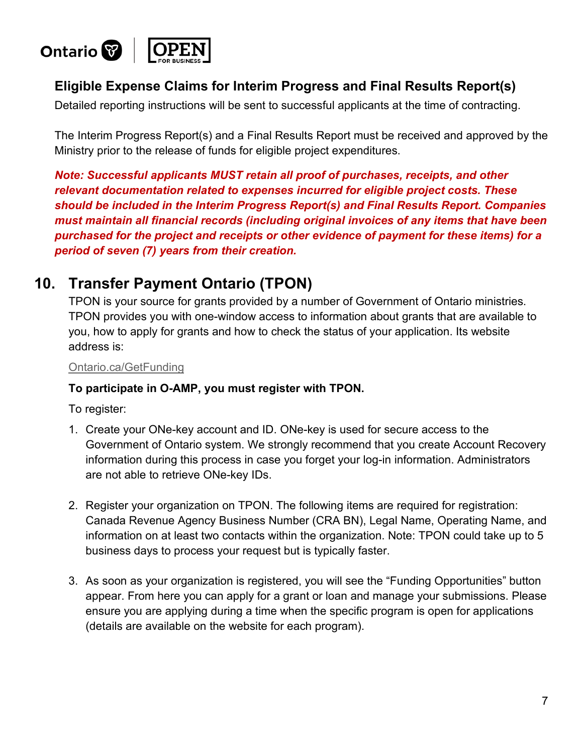

### **Eligible Expense Claims for Interim Progress and Final Results Report(s)**

Detailed reporting instructions will be sent to successful applicants at the time of contracting.

The Interim Progress Report(s) and a Final Results Report must be received and approved by the Ministry prior to the release of funds for eligible project expenditures.

*Note: Successful applicants MUST retain all proof of purchases, receipts, and other relevant documentation related to expenses incurred for eligible project costs. These should be included in the Interim Progress Report(s) and Final Results Report. Companies must maintain all financial records (including original invoices of any items that have been purchased for the project and receipts or other evidence of payment for these items) for a period of seven (7) years from their creation.* 

### **10. Transfer Payment Ontario (TPON)**

TPON is your source for grants provided by a number of Government of Ontario ministries. TPON provides you with one-window access to information about grants that are available to you, how to apply for grants and how to check the status of your application. Its website address is:

#### [Ontario.ca/GetFunding](http://Ontario.ca/GetFunding)

#### **To participate in O-AMP, you must register with TPON.**

To register:

- 1. Create your ONe-key account and ID. ONe-key is used for secure access to the Government of Ontario system. We strongly recommend that you create Account Recovery information during this process in case you forget your log-in information. Administrators are not able to retrieve ONe-key IDs.
- 2. Register your organization on TPON. The following items are required for registration: Canada Revenue Agency Business Number (CRA BN), Legal Name, Operating Name, and information on at least two contacts within the organization. Note: TPON could take up to 5 business days to process your request but is typically faster.
- 3. As soon as your organization is registered, you will see the "Funding Opportunities" button appear. From here you can apply for a grant or loan and manage your submissions. Please ensure you are applying during a time when the specific program is open for applications (details are available on the website for each program).